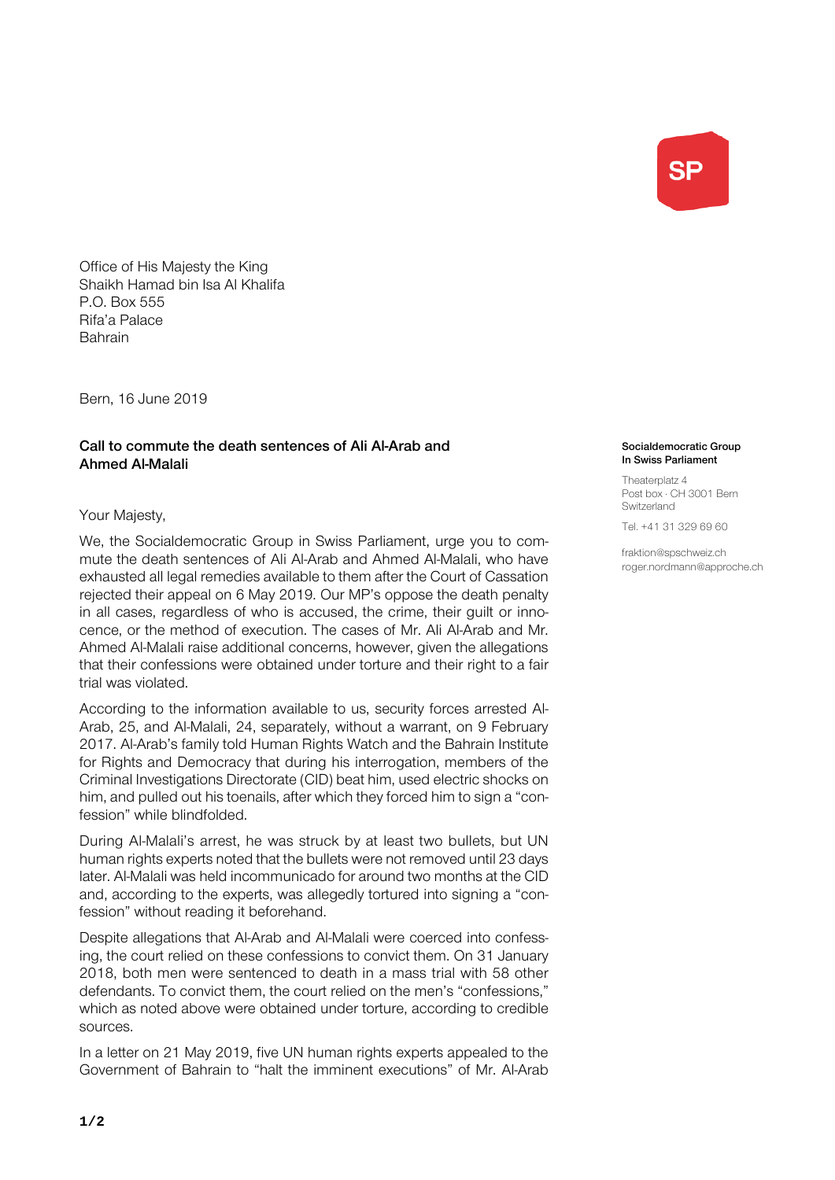**SP** 

Office of His Majesty the King Shaikh Hamad bin Isa Al Khalifa P.O. Box 555 Rifa'a Palace Bahrain

Bern, 16 June 2019

## Call to commute the death sentences of Ali Al-Arab and Ahmed Al-Malali

## Your Majesty,

We, the Socialdemocratic Group in Swiss Parliament, urge you to commute the death sentences of Ali Al-Arab and Ahmed Al-Malali, who have exhausted all legal remedies available to them after the Court of Cassation rejected their appeal on 6 May 2019. Our MP's oppose the death penalty in all cases, regardless of who is accused, the crime, their guilt or innocence, or the method of execution. The cases of Mr. Ali Al-Arab and Mr. Ahmed Al-Malali raise additional concerns, however, given the allegations that their confessions were obtained under torture and their right to a fair trial was violated.

According to the information available to us, security forces arrested Al-Arab, 25, and Al-Malali, 24, separately, without a warrant, on 9 February 2017. Al-Arab's family told Human Rights Watch and the Bahrain Institute for Rights and Democracy that during his interrogation, members of the Criminal Investigations Directorate (CID) beat him, used electric shocks on him, and pulled out his toenails, after which they forced him to sign a "confession" while blindfolded.

During Al-Malali's arrest, he was struck by at least two bullets, but UN human rights experts noted that the bullets were not removed until 23 days later. Al-Malali was held incommunicado for around two months at the CID and, according to the experts, was allegedly tortured into signing a "confession" without reading it beforehand.

Despite allegations that Al-Arab and Al-Malali were coerced into confessing, the court relied on these confessions to convict them. On 31 January 2018, both men were sentenced to death in a mass trial with 58 other defendants. To convict them, the court relied on the men's "confessions," which as noted above were obtained under torture, according to credible sources.

In a letter on 21 May 2019, five UN human rights experts appealed to the Government of Bahrain to "halt the imminent executions" of Mr. Al-Arab

## Socialdemocratic Group In Swiss Parliament

Theaterplatz 4 Post box · CH 3001 Bern Switzerland

Tel. +41 31 329 69 60

fraktion@spschweiz.ch roger.nordmann@approche.ch